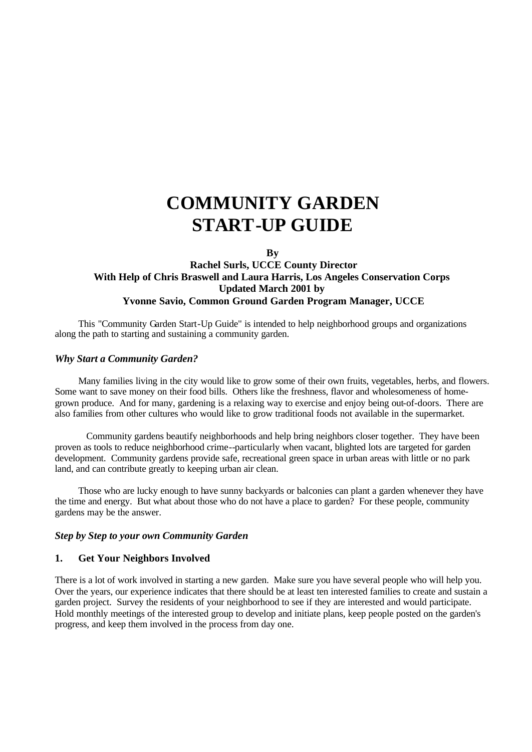# **COMMUNITY GARDEN START-UP GUIDE**

#### **By**

# **Rachel Surls, UCCE County Director With Help of Chris Braswell and Laura Harris, Los Angeles Conservation Corps Updated March 2001 by Yvonne Savio, Common Ground Garden Program Manager, UCCE**

This "Community Garden Start-Up Guide" is intended to help neighborhood groups and organizations along the path to starting and sustaining a community garden.

#### *Why Start a Community Garden?*

Many families living in the city would like to grow some of their own fruits, vegetables, herbs, and flowers. Some want to save money on their food bills. Others like the freshness, flavor and wholesomeness of homegrown produce. And for many, gardening is a relaxing way to exercise and enjoy being out-of-doors. There are also families from other cultures who would like to grow traditional foods not available in the supermarket.

Community gardens beautify neighborhoods and help bring neighbors closer together. They have been proven as tools to reduce neighborhood crime--particularly when vacant, blighted lots are targeted for garden development. Community gardens provide safe, recreational green space in urban areas with little or no park land, and can contribute greatly to keeping urban air clean.

Those who are lucky enough to have sunny backyards or balconies can plant a garden whenever they have the time and energy. But what about those who do not have a place to garden? For these people, community gardens may be the answer.

## *Step by Step to your own Community Garden*

## **1. Get Your Neighbors Involved**

There is a lot of work involved in starting a new garden. Make sure you have several people who will help you. Over the years, our experience indicates that there should be at least ten interested families to create and sustain a garden project. Survey the residents of your neighborhood to see if they are interested and would participate. Hold monthly meetings of the interested group to develop and initiate plans, keep people posted on the garden's progress, and keep them involved in the process from day one.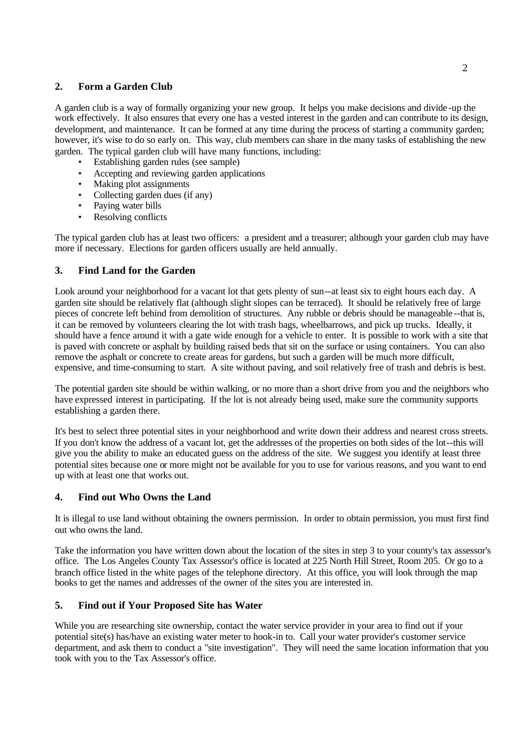# **2. Form a Garden Club**

A garden club is a way of formally organizing your new group. It helps you make decisions and divide -up the work effectively. It also ensures that every one has a vested interest in the garden and can contribute to its design, development, and maintenance. It can be formed at any time during the process of starting a community garden; however, it's wise to do so early on. This way, club members can share in the many tasks of establishing the new garden. The typical garden club will have many functions, including:

- Establishing garden rules (see sample)
- Accepting and reviewing garden applications
- Making plot assignments
- Collecting garden dues (if any)
- Paying water bills
- Resolving conflicts

The typical garden club has at least two officers: a president and a treasurer; although your garden club may have more if necessary. Elections for garden officers usually are held annually.

# **3. Find Land for the Garden**

Look around your neighborhood for a vacant lot that gets plenty of sun--at least six to eight hours each day. A garden site should be relatively flat (although slight slopes can be terraced). It should be relatively free of large pieces of concrete left behind from demolition of structures. Any rubble or debris should be manageable --that is, it can be removed by volunteers clearing the lot with trash bags, wheelbarrows, and pick up trucks. Ideally, it should have a fence around it with a gate wide enough for a vehicle to enter. It is possible to work with a site that is paved with concrete or asphalt by building raised beds that sit on the surface or using containers. You can also remove the asphalt or concrete to create areas for gardens, but such a garden will be much more difficult, expensive, and time-consuming to start. A site without paving, and soil relatively free of trash and debris is best.

The potential garden site should be within walking, or no more than a short drive from you and the neighbors who have expressed interest in participating. If the lot is not already being used, make sure the community supports establishing a garden there.

It's best to select three potential sites in your neighborhood and write down their address and nearest cross streets. If you don't know the address of a vacant lot, get the addresses of the properties on both sides of the lot--this will give you the ability to make an educated guess on the address of the site. We suggest you identify at least three potential sites because one or more might not be available for you to use for various reasons, and you want to end up with at least one that works out.

## **4. Find out Who Owns the Land**

It is illegal to use land without obtaining the owners permission. In order to obtain permission, you must first find out who owns the land.

Take the information you have written down about the location of the sites in step 3 to your county's tax assessor's office. The Los Angeles County Tax Assessor's office is located at 225 North Hill Street, Room 205. Or go to a branch office listed in the white pages of the telephone directory. At this office, you will look through the map books to get the names and addresses of the owner of the sites you are interested in.

# **5. Find out if Your Proposed Site has Water**

While you are researching site ownership, contact the water service provider in your area to find out if your potential site(s) has/have an existing water meter to hook-in to. Call your water provider's customer service department, and ask them to conduct a "site investigation". They will need the same location information that you took with you to the Tax Assessor's office.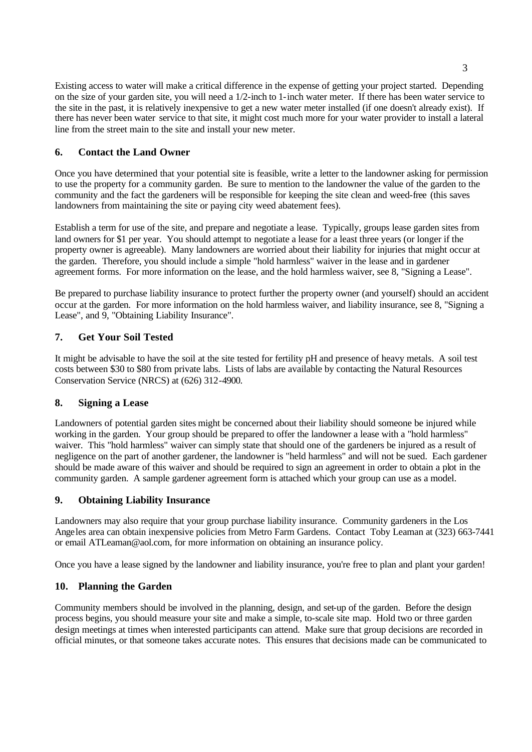Existing access to water will make a critical difference in the expense of getting your project started. Depending on the size of your garden site, you will need a 1/2-inch to 1-inch water meter. If there has been water service to the site in the past, it is relatively inexpensive to get a new water meter installed (if one doesn't already exist). If there has never been water service to that site, it might cost much more for your water provider to install a lateral line from the street main to the site and install your new meter.

# **6. Contact the Land Owner**

Once you have determined that your potential site is feasible, write a letter to the landowner asking for permission to use the property for a community garden. Be sure to mention to the landowner the value of the garden to the community and the fact the gardeners will be responsible for keeping the site clean and weed-free (this saves landowners from maintaining the site or paying city weed abatement fees).

Establish a term for use of the site, and prepare and negotiate a lease. Typically, groups lease garden sites from land owners for \$1 per year. You should attempt to negotiate a lease for a least three years (or longer if the property owner is agreeable). Many landowners are worried about their liability for injuries that might occur at the garden. Therefore, you should include a simple "hold harmless" waiver in the lease and in gardener agreement forms. For more information on the lease, and the hold harmless waiver, see 8, "Signing a Lease".

Be prepared to purchase liability insurance to protect further the property owner (and yourself) should an accident occur at the garden. For more information on the hold harmless waiver, and liability insurance, see 8, "Signing a Lease", and 9, "Obtaining Liability Insurance".

# **7. Get Your Soil Tested**

It might be advisable to have the soil at the site tested for fertility pH and presence of heavy metals. A soil test costs between \$30 to \$80 from private labs. Lists of labs are available by contacting the Natural Resources Conservation Service (NRCS) at (626) 312-4900.

## **8. Signing a Lease**

Landowners of potential garden sites might be concerned about their liability should someone be injured while working in the garden. Your group should be prepared to offer the landowner a lease with a "hold harmless" waiver. This "hold harmless" waiver can simply state that should one of the gardeners be injured as a result of negligence on the part of another gardener, the landowner is "held harmless" and will not be sued. Each gardener should be made aware of this waiver and should be required to sign an agreement in order to obtain a plot in the community garden. A sample gardener agreement form is attached which your group can use as a model.

## **9. Obtaining Liability Insurance**

Landowners may also require that your group purchase liability insurance. Community gardeners in the Los Angeles area can obtain inexpensive policies from Metro Farm Gardens. Contact Toby Leaman at (323) 663-7441 or email ATLeaman@aol.com, for more information on obtaining an insurance policy.

Once you have a lease signed by the landowner and liability insurance, you're free to plan and plant your garden!

# **10. Planning the Garden**

Community members should be involved in the planning, design, and set-up of the garden. Before the design process begins, you should measure your site and make a simple, to-scale site map. Hold two or three garden design meetings at times when interested participants can attend. Make sure that group decisions are recorded in official minutes, or that someone takes accurate notes. This ensures that decisions made can be communicated to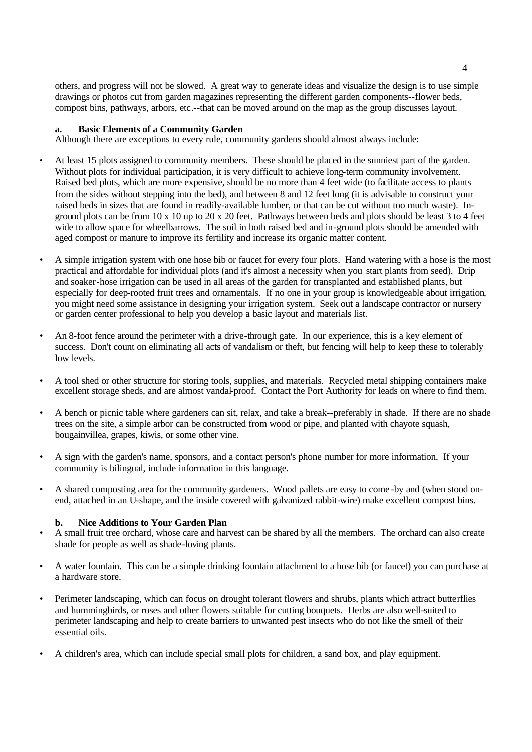others, and progress will not be slowed. A great way to generate ideas and visualize the design is to use simple drawings or photos cut from garden magazines representing the different garden components--flower beds, compost bins, pathways, arbors, etc.--that can be moved around on the map as the group discusses layout.

#### **a. Basic Elements of a Community Garden**

Although there are exceptions to every rule, community gardens should almost always include:

- At least 15 plots assigned to community members. These should be placed in the sunniest part of the garden. Without plots for individual participation, it is very difficult to achieve long-term community involvement. Raised bed plots, which are more expensive, should be no more than 4 feet wide (to facilitate access to plants from the sides without stepping into the bed), and between 8 and 12 feet long (it is advisable to construct your raised beds in sizes that are found in readily-available lumber, or that can be cut without too much waste). Inground plots can be from 10 x 10 up to 20 x 20 feet. Pathways between beds and plots should be least 3 to 4 feet wide to allow space for wheelbarrows. The soil in both raised bed and in-ground plots should be amended with aged compost or manure to improve its fertility and increase its organic matter content.
- A simple irrigation system with one hose bib or faucet for every four plots. Hand watering with a hose is the most practical and affordable for individual plots (and it's almost a necessity when you start plants from seed). Drip and soaker-hose irrigation can be used in all areas of the garden for transplanted and established plants, but especially for deep-rooted fruit trees and ornamentals. If no one in your group is knowledgeable about irrigation, you might need some assistance in designing your irrigation system. Seek out a landscape contractor or nursery or garden center professional to help you develop a basic layout and materials list.
- An 8-foot fence around the perimeter with a drive-through gate. In our experience, this is a key element of success. Don't count on eliminating all acts of vandalism or theft, but fencing will help to keep these to tolerably low levels.
- A tool shed or other structure for storing tools, supplies, and materials. Recycled metal shipping containers make excellent storage sheds, and are almost vandal-proof. Contact the Port Authority for leads on where to find them.
- A bench or picnic table where gardeners can sit, relax, and take a break--preferably in shade. If there are no shade trees on the site, a simple arbor can be constructed from wood or pipe, and planted with chayote squash, bougainvillea, grapes, kiwis, or some other vine.
- A sign with the garden's name, sponsors, and a contact person's phone number for more information. If your community is bilingual, include information in this language.
- A shared composting area for the community gardeners. Wood pallets are easy to come -by and (when stood onend, attached in an U-shape, and the inside covered with galvanized rabbit-wire) make excellent compost bins.

#### **b. Nice Additions to Your Garden Plan**

- A small fruit tree orchard, whose care and harvest can be shared by all the members. The orchard can also create shade for people as well as shade-loving plants.
- A water fountain. This can be a simple drinking fountain attachment to a hose bib (or faucet) you can purchase at a hardware store.
- Perimeter landscaping, which can focus on drought tolerant flowers and shrubs, plants which attract butterflies and hummingbirds, or roses and other flowers suitable for cutting bouquets. Herbs are also well-suited to perimeter landscaping and help to create barriers to unwanted pest insects who do not like the smell of their essential oils.
- A children's area, which can include special small plots for children, a sand box, and play equipment.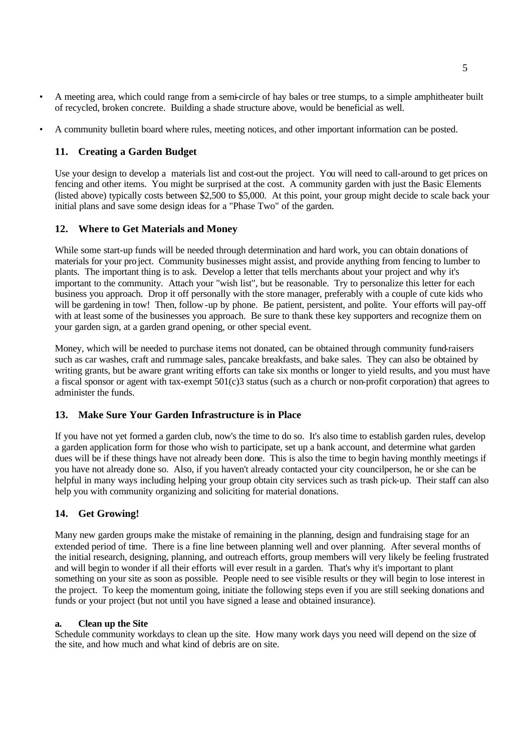- A meeting area, which could range from a semi-circle of hay bales or tree stumps, to a simple amphitheater built of recycled, broken concrete. Building a shade structure above, would be beneficial as well.
- A community bulletin board where rules, meeting notices, and other important information can be posted.

## **11. Creating a Garden Budget**

Use your design to develop a materials list and cost-out the project. You will need to call-around to get prices on fencing and other items. You might be surprised at the cost. A community garden with just the Basic Elements (listed above) typically costs between \$2,500 to \$5,000. At this point, your group might decide to scale back your initial plans and save some design ideas for a "Phase Two" of the garden.

## **12. Where to Get Materials and Money**

While some start-up funds will be needed through determination and hard work, you can obtain donations of materials for your project. Community businesses might assist, and provide anything from fencing to lumber to plants. The important thing is to ask. Develop a letter that tells merchants about your project and why it's important to the community. Attach your "wish list", but be reasonable. Try to personalize this letter for each business you approach. Drop it off personally with the store manager, preferably with a couple of cute kids who will be gardening in tow! Then, follow-up by phone. Be patient, persistent, and polite. Your efforts will pay-off with at least some of the businesses you approach. Be sure to thank these key supporters and recognize them on your garden sign, at a garden grand opening, or other special event.

Money, which will be needed to purchase items not donated, can be obtained through community fund-raisers such as car washes, craft and rummage sales, pancake breakfasts, and bake sales. They can also be obtained by writing grants, but be aware grant writing efforts can take six months or longer to yield results, and you must have a fiscal sponsor or agent with tax-exempt 501(c)3 status (such as a church or non-profit corporation) that agrees to administer the funds.

## **13. Make Sure Your Garden Infrastructure is in Place**

If you have not yet formed a garden club, now's the time to do so. It's also time to establish garden rules, develop a garden application form for those who wish to participate, set up a bank account, and determine what garden dues will be if these things have not already been done. This is also the time to begin having monthly meetings if you have not already done so. Also, if you haven't already contacted your city councilperson, he or she can be helpful in many ways including helping your group obtain city services such as trash pick-up. Their staff can also help you with community organizing and soliciting for material donations.

## **14. Get Growing!**

Many new garden groups make the mistake of remaining in the planning, design and fundraising stage for an extended period of time. There is a fine line between planning well and over planning. After several months of the initial research, designing, planning, and outreach efforts, group members will very likely be feeling frustrated and will begin to wonder if all their efforts will ever result in a garden. That's why it's important to plant something on your site as soon as possible. People need to see visible results or they will begin to lose interest in the project. To keep the momentum going, initiate the following steps even if you are still seeking donations and funds or your project (but not until you have signed a lease and obtained insurance).

#### **a. Clean up the Site**

Schedule community workdays to clean up the site. How many work days you need will depend on the size of the site, and how much and what kind of debris are on site.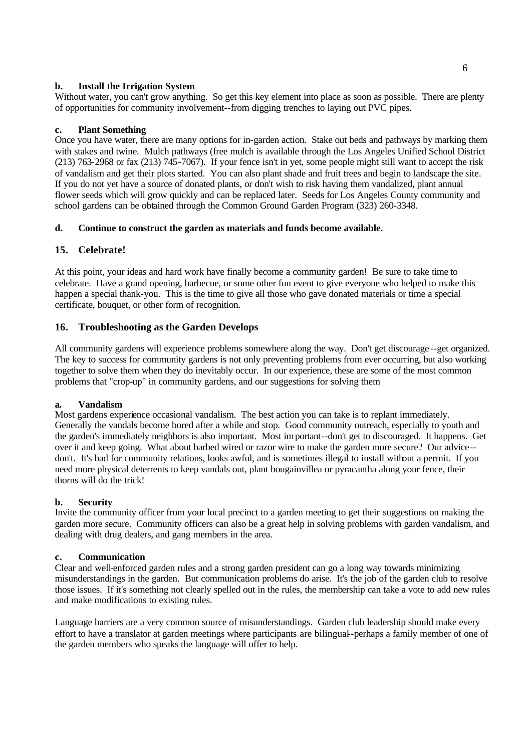## **b. Install the Irrigation System**

Without water, you can't grow anything. So get this key element into place as soon as possible. There are plenty of opportunities for community involvement--from digging trenches to laying out PVC pipes.

## **c. Plant Something**

Once you have water, there are many options for in-garden action. Stake out beds and pathways by marking them with stakes and twine. Mulch pathways (free mulch is available through the Los Angeles Unified School District (213) 763-2968 or fax (213) 745-7067). If your fence isn't in yet, some people might still want to accept the risk of vandalism and get their plots started. You can also plant shade and fruit trees and begin to landscape the site. If you do not yet have a source of donated plants, or don't wish to risk having them vandalized, plant annual flower seeds which will grow quickly and can be replaced later. Seeds for Los Angeles County community and school gardens can be obtained through the Common Ground Garden Program (323) 260-3348.

## **d. Continue to construct the garden as materials and funds become available.**

# **15. Celebrate!**

At this point, your ideas and hard work have finally become a community garden! Be sure to take time to celebrate. Have a grand opening, barbecue, or some other fun event to give everyone who helped to make this happen a special thank-you. This is the time to give all those who gave donated materials or time a special certificate, bouquet, or other form of recognition.

## **16. Troubleshooting as the Garden Develops**

All community gardens will experience problems somewhere along the way. Don't get discourage --get organized. The key to success for community gardens is not only preventing problems from ever occurring, but also working together to solve them when they do inevitably occur. In our experience, these are some of the most common problems that "crop-up" in community gardens, and our suggestions for solving them

#### **a. Vandalism**

Most gardens experience occasional vandalism. The best action you can take is to replant immediately. Generally the vandals become bored after a while and stop. Good community outreach, especially to youth and the garden's immediately neighbors is also important. Most important--don't get to discouraged. It happens. Get over it and keep going. What about barbed wired or razor wire to make the garden more secure? Our advice- don't. It's bad for community relations, looks awful, and is sometimes illegal to install without a permit. If you need more physical deterrents to keep vandals out, plant bougainvillea or pyracantha along your fence, their thorns will do the trick!

## **b. Security**

Invite the community officer from your local precinct to a garden meeting to get their suggestions on making the garden more secure. Community officers can also be a great help in solving problems with garden vandalism, and dealing with drug dealers, and gang members in the area.

#### **c. Communication**

Clear and well-enforced garden rules and a strong garden president can go a long way towards minimizing misunderstandings in the garden. But communication problems do arise. It's the job of the garden club to resolve those issues. If it's something not clearly spelled out in the rules, the membership can take a vote to add new rules and make modifications to existing rules.

Language barriers are a very common source of misunderstandings. Garden club leadership should make every effort to have a translator at garden meetings where participants are bilingual--perhaps a family member of one of the garden members who speaks the language will offer to help.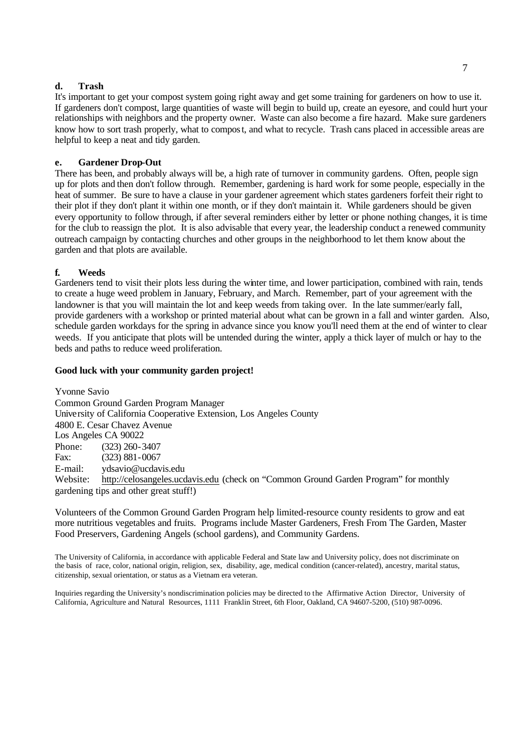#### **d. Trash**

It's important to get your compost system going right away and get some training for gardeners on how to use it. If gardeners don't compost, large quantities of waste will begin to build up, create an eyesore, and could hurt your relationships with neighbors and the property owner. Waste can also become a fire hazard. Make sure gardeners know how to sort trash properly, what to compost, and what to recycle. Trash cans placed in accessible areas are helpful to keep a neat and tidy garden.

## **e. Gardener Drop-Out**

There has been, and probably always will be, a high rate of turnover in community gardens. Often, people sign up for plots and then don't follow through. Remember, gardening is hard work for some people, especially in the heat of summer. Be sure to have a clause in your gardener agreement which states gardeners forfeit their right to their plot if they don't plant it within one month, or if they don't maintain it. While gardeners should be given every opportunity to follow through, if after several reminders either by letter or phone nothing changes, it is time for the club to reassign the plot. It is also advisable that every year, the leadership conduct a renewed community outreach campaign by contacting churches and other groups in the neighborhood to let them know about the garden and that plots are available.

#### **f. Weeds**

Gardeners tend to visit their plots less during the winter time, and lower participation, combined with rain, tends to create a huge weed problem in January, February, and March. Remember, part of your agreement with the landowner is that you will maintain the lot and keep weeds from taking over. In the late summer/early fall, provide gardeners with a workshop or printed material about what can be grown in a fall and winter garden. Also, schedule garden workdays for the spring in advance since you know you'll need them at the end of winter to clear weeds. If you anticipate that plots will be untended during the winter, apply a thick layer of mulch or hay to the beds and paths to reduce weed proliferation.

#### **Good luck with your community garden project!**

Yvonne Savio Common Ground Garden Program Manager University of California Cooperative Extension, Los Angeles County 4800 E. Cesar Chavez Avenue Los Angeles CA 90022 Phone: (323) 260-3407 Fax: (323) 881-0067 E-mail: ydsavio@ucdavis.edu Website: http://celosangeles.ucdavis.edu (check on "Common Ground Garden Program" for monthly gardening tips and other great stuff!)

Volunteers of the Common Ground Garden Program help limited-resource county residents to grow and eat more nutritious vegetables and fruits. Programs include Master Gardeners, Fresh From The Garden, Master Food Preservers, Gardening Angels (school gardens), and Community Gardens.

The University of California, in accordance with applicable Federal and State law and University policy, does not discriminate on the basis of race, color, national origin, religion, sex, disability, age, medical condition (cancer-related), ancestry, marital status, citizenship, sexual orientation, or status as a Vietnam era veteran.

Inquiries regarding the University's nondiscrimination policies may be directed to the Affirmative Action Director, University of California, Agriculture and Natural Resources, 1111 Franklin Street, 6th Floor, Oakland, CA 94607-5200, (510) 987-0096.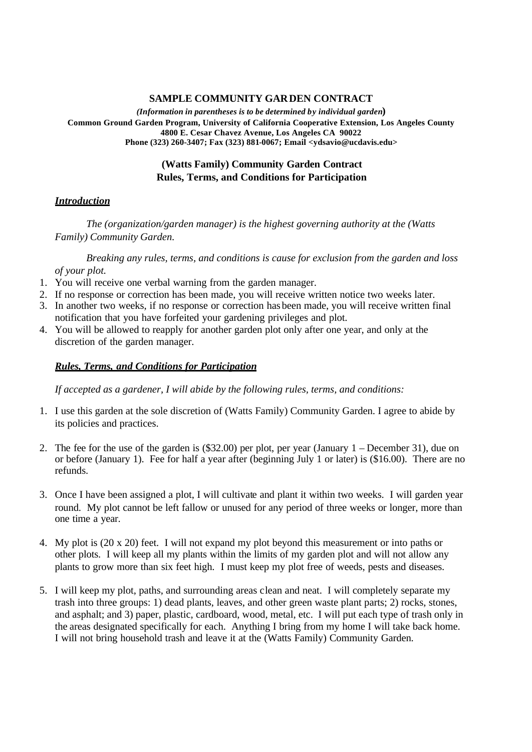# **SAMPLE COMMUNITY GARDEN CONTRACT**

*(Information in parentheses is to be determined by individual garden***) Common Ground Garden Program, University of California Cooperative Extension, Los Angeles County 4800 E. Cesar Chavez Avenue, Los Angeles CA 90022 Phone (323) 260-3407; Fax (323) 881-0067; Email <ydsavio@ucdavis.edu>**

# **(Watts Family) Community Garden Contract Rules, Terms, and Conditions for Participation**

# *Introduction*

*The (organization/garden manager) is the highest governing authority at the (Watts Family) Community Garden.*

*Breaking any rules, terms, and conditions is cause for exclusion from the garden and loss of your plot.* 

- 1. You will receive one verbal warning from the garden manager.
- 2. If no response or correction has been made, you will receive written notice two weeks later.
- 3. In another two weeks, if no response or correction has been made, you will receive written final notification that you have forfeited your gardening privileges and plot.
- 4. You will be allowed to reapply for another garden plot only after one year, and only at the discretion of the garden manager.

# *Rules, Terms, and Conditions for Participation*

*If accepted as a gardener, I will abide by the following rules, terms, and conditions:*

- 1. I use this garden at the sole discretion of (Watts Family) Community Garden. I agree to abide by its policies and practices.
- 2. The fee for the use of the garden is (\$32.00) per plot, per year (January 1 December 31), due on or before (January 1). Fee for half a year after (beginning July 1 or later) is (\$16.00). There are no refunds.
- 3. Once I have been assigned a plot, I will cultivate and plant it within two weeks. I will garden year round. My plot cannot be left fallow or unused for any period of three weeks or longer, more than one time a year.
- 4. My plot is (20 x 20) feet. I will not expand my plot beyond this measurement or into paths or other plots. I will keep all my plants within the limits of my garden plot and will not allow any plants to grow more than six feet high. I must keep my plot free of weeds, pests and diseases.
- 5. I will keep my plot, paths, and surrounding areas clean and neat. I will completely separate my trash into three groups: 1) dead plants, leaves, and other green waste plant parts; 2) rocks, stones, and asphalt; and 3) paper, plastic, cardboard, wood, metal, etc. I will put each type of trash only in the areas designated specifically for each. Anything I bring from my home I will take back home. I will not bring household trash and leave it at the (Watts Family) Community Garden.